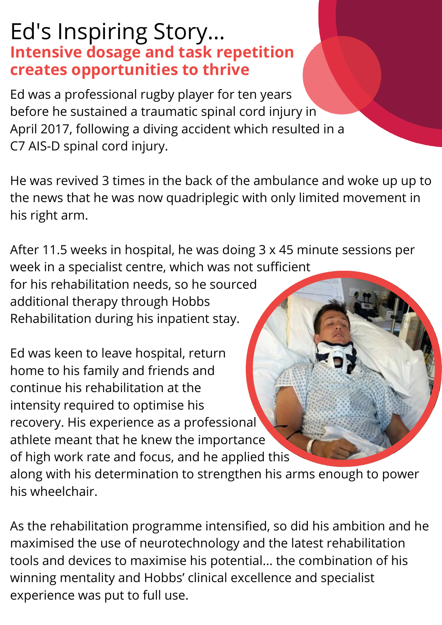## Ed's Inspiring Story... **Intensive dosage and task repetition creates opportunities to thrive**

Ed was a professional rugby player for ten years before he sustained a traumatic spinal cord injury in April 2017, following a diving accident which resulted in a C7 AIS-D spinal cord injury.

He was revived 3 times in the back of the ambulance and woke up up to the news that he was now quadriplegic with only limited movement in his right arm.

After 11.5 weeks in hospital, he was doing 3 x 45 minute sessions per week in a specialist centre, which was not sufficient for his rehabilitation needs, so he sourced additional therapy through Hobbs Rehabilitation during his inpatient stay.

Ed was keen to leave hospital, return home to his family and friends and continue his rehabilitation at the intensity required to optimise his recovery. His experience as a professional athlete meant that he knew the importance of high work rate and focus, and he applied this along with his determination to strengthen his arms enough to power his wheelchair.

As the rehabilitation programme intensified, so did his ambition and he maximised the use of neurotechnology and the latest rehabilitation tools and devices to maximise his potential... the combination of his winning mentality and Hobbs' clinical excellence and specialist experience was put to full use.